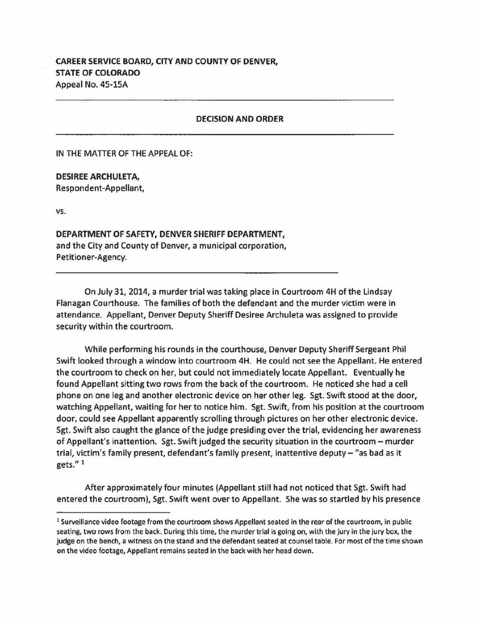## **CAREER SERVICE BOARD, CITY AND COUNTY OF DENVER, STATE OF COLORADO**  Appeal No. 45-lSA

## **DECISION AND ORDER**

IN THE MATTER OF THE APPEAL OF:

**DESIREE ARCHULETA,**  Respondent-Appellant,

**vs.** 

**DEPARTMENT OF SAFETY, DENVER SHERIFF DEPARTMENT,**  and the City and County of Denver, a municipal corporation, Petitioner-Agency.

On July 31, 2014, a murder trial was taking place in Courtroom 4H of the Lindsay Flanagan Courthouse. The families of both the defendant and the murder victim were in attendance. Appellant, Denver Deputy Sheriff Desiree Archuleta was assigned to provide security within the courtroom.

While performing his rounds in the courthouse, Denver Deputy Sheriff Sergeant Phil Swift looked through a window into courtroom 4H. He could not see the Appellant. He entered the courtroom to check on her, but could not immediately locate Appellant. Eventually he found Appellant sitting two rows from the **back** of the courtroom. He noticed she had a cell phone on one leg and another electronic device on her other leg. Sgt. Swift stood at the door, watching Appellant, waiting for her to notice him. Sgt. Swift, from his position at the courtroom door, could see Appellant apparently scrolling through pictures on her other electronic device. Sgt. Swift also caught the glance of the judge presiding over the trial, evidencing her awareness of Appellant's inattention. Sgt. Swift judged the security situation in the courtroom - murder trial, victim's family present, defendant's family present, inattentive deputy- "as bad as it gets." 1

After approximately four minutes (Appellant still had not noticed that Sgt. Swift had entered the courtroom), Sgt. Swift went over to Appellant. She was so startled by his presence

<sup>&</sup>lt;sup>1</sup> Surveillance video footage from the courtroom shows Appellant seated in the rear of the courtroom, in public seating, two rows from the back. During this time, the murder trial is going on, with the jury in the jury box, the judge on the bench, a witness on the stand and the defendant seated at counsel table. For most of the time shown on the video footage, Appellant remains seated in the back with her head down.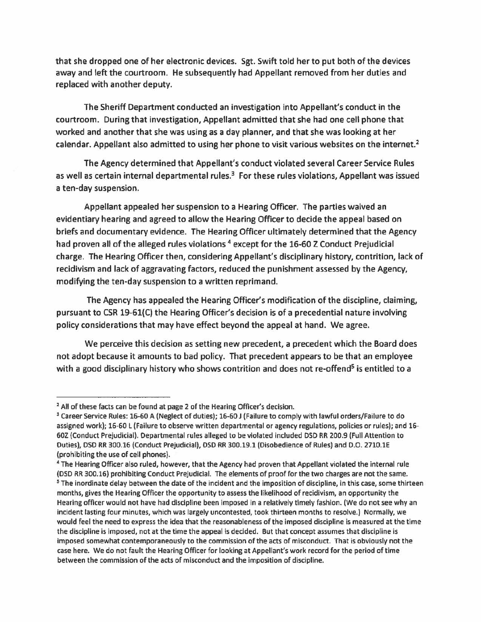that she dropped one of her electronic devices. Sgt. Swift told her to put both of the devices away and left the courtroom. He subsequently had Appellant removed from her duties and replaced with another deputy.

The Sheriff Department conducted an investigation into Appellant's conduct in the courtroom. During that investigation, Appellant admitted that she had one cell phone that worked and another that she was using as a day planner, and that she was looking at her calendar. Appellant also admitted to using her phone to visit various websites on the internet.<sup>2</sup>

The Agency determined that Appellant's conduct violated several Career Service Rules as well as certain internal departmental rules.<sup>3</sup> For these rules violations, Appellant was issued a ten-day suspension.

Appellant appealed her suspension to a Hearing Officer. The parties waived an evidentiary hearing and agreed to allow the Hearing Officer to decide the appeal based on briefs and documentary evidence. The Hearing Officer ultimately determined that the Agency had proven all of the alleged rules violations<sup>4</sup> except for the 16-60 Z Conduct Prejudicial charge. The Hearing Officer then, considering Appellant's disciplinary history, contrition, lack of recidivism and lack of aggravating factors, reduced the punishment assessed by the Agency, modifying the ten-day suspension to a written reprimand.

The Agency has appealed the Hearing Officer's modification of the discipline, claiming, pursuant to CSR 19-Gl(C) the Hearing Officer's decision is of a precedential nature involving policy considerations that may have effect beyond the appeal at hand. We agree.

We perceive this decision as setting new precedent, a precedent which the Board does not adopt because it amounts to bad policy. That precedent appears to be that an employee with a good disciplinary history who shows contrition and does not re-offend<sup>5</sup> is entitled to a

<sup>&</sup>lt;sup>2</sup> All of these facts can be found at page 2 of the Hearing Officer's decision.<br><sup>3</sup> Career Service Rules: 16-60 A (Neglect of duties); 16-60 J (Failure to comply with lawful orders/Failure to do assigned work); 16-60 L (Failure to observe written departmental or agency regulations, policies or rules); and 16- 602 (Conduct Prejudicial). Departmental rules alleged to be violated included OSD RR 200.9 (Full Attention to Duties), DSD RR 300.16 (Conduct Prejudicial), DSD RR 300.19.1 (Disobedience of Rules) and 0.0. 2710.lE

<sup>(</sup>prohibiting the use of cell phones).<br><sup>4</sup> The Hearing Officer also ruled, however, that the Agency had proven that Appellant violated the internal rule

<sup>(</sup>DSD RR 300.16) prohibiting Conduct Prejudicial. The elements of proof for the two charges are not the same.<br><sup>5</sup> The inordinate delay between the date of the incident and the imposition of discipline, in this case, some th months, gives the Hearing Officer the opportunity to assess the likelihood of recidivism, an opportunity the Hearing officer would not have had discipline been imposed in a relatively timely fashion. (We do not see why an incident lasting four minutes, which was largely uncontested, took thirteen months to resolve.) Normally, we would feel the need to express the idea that the reasonableness of the imposed discipline is measured at the time the discipline is imposed, not at the time the appeal is decided. But that concept assumes that discipline is imposed somewhat contemporaneously to the commission of the acts of misconduct. That is obviously not the case here. We do not fault the Hearing Officer for looking at Appellant's work record for the period of time between the commission of the acts of misconduct and the imposition of discipline.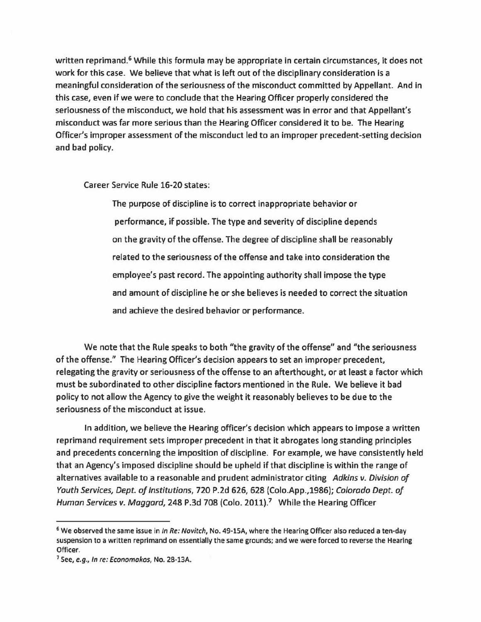written reprimand.<sup>6</sup> While this formula may be appropriate in certain circumstances, it does not work for this case. We believe that what is left out of the disciplinary consideration is a meaningful consideration of the seriousness of the misconduct committed by Appellant. And in this case, even if we were to conclude that the Hearing Officer properly considered the seriousness of the misconduct, we hold that his assessment was in error and that Appellant's misconduct was far more serious than the Hearing Officer considered it to be. The Hearing Officer's improper assessment of the misconduct led to an improper precedent-setting decision and bad policy.

Career Service Rule 16-20 states:

The purpose of discipline is to correct inappropriate behavior or performance, if possible. The type and severity of discipline depends on the gravity of the offense. The degree of discipline shall be reasonably related to the seriousness of the offense and take into consideration the employee's past record. The appointing authority shall impose the type and amount of discipline he or she believes is needed to correct the situation and achieve the desired behavior or performance.

We note that the Rule speaks to both "the gravity of the offense" and "the seriousness of the offense." The Hearing Officer's decision appears to set an improper precedent, relegating the gravity or seriousness of the offense to an afterthought, or at least a factor which must be subordinated to other discipline factors mentioned in the Rule. We believe it bad policy to not allow the Agency to give the weight it reasonably believes to be due to the seriousness of the misconduct at issue.

In addition, we believe the Hearing officer's decision which appears to impose a written reprimand requirement sets improper precedent in that it abrogates long standing principles and precedents concerning the imposition of discipline. For example, we have consistently held that an Agency's imposed discipline should be upheld if that discipline is within the range of alternatives available to a reasonable and prudent administrator citing *Adkins v. Division of Youth Services, Dept. of Institutions,* 720 P.2d 626, 628 (Colo.App.,1986); *Colorado Dept. of Human Services v. Maggard,* 248 P.3d 708 (Colo. 2011).7 While the Hearing Officer

 $6$  We observed the same issue in In Re: Novitch, No. 49-15A, where the Hearing Officer also reduced a ten-day suspension to a written reprimand on essentially the same grounds; and we were forced to reverse the Hearing Officer.

<sup>&</sup>lt;sup>7</sup> See, e.g., In re: Economakos, No. 28-13A.